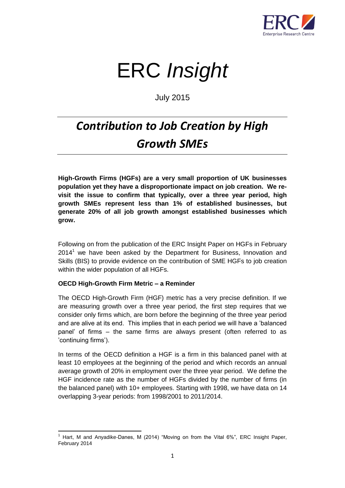

# ERC *Insight*

July 2015

# *Contribution to Job Creation by High Growth SMEs*

**High-Growth Firms (HGFs) are a very small proportion of UK businesses population yet they have a disproportionate impact on job creation. We revisit the issue to confirm that typically, over a three year period, high growth SMEs represent less than 1% of established businesses, but generate 20% of all job growth amongst established businesses which grow.** 

Following on from the publication of the ERC Insight Paper on HGFs in February  $2014<sup>1</sup>$  we have been asked by the Department for Business, Innovation and Skills (BIS) to provide evidence on the contribution of SME HGFs to job creation within the wider population of all HGFs.

# **OECD High-Growth Firm Metric – a Reminder**

The OECD High-Growth Firm (HGF) metric has a very precise definition. If we are measuring growth over a three year period, the first step requires that we consider only firms which, are born before the beginning of the three year period and are alive at its end. This implies that in each period we will have a 'balanced panel' of firms – the same firms are always present (often referred to as 'continuing firms').

In terms of the OECD definition a HGF is a firm in this balanced panel with at least 10 employees at the beginning of the period and which records an annual average growth of 20% in employment over the three year period. We define the HGF incidence rate as the number of HGFs divided by the number of firms (in the balanced panel) with 10+ employees. Starting with 1998, we have data on 14 overlapping 3-year periods: from 1998/2001 to 2011/2014.

 $\overline{\phantom{a}}$ <sup>1</sup> Hart, M and Anyadike-Danes, M (2014) "Moving on from the Vital 6%", ERC Insight Paper, February 2014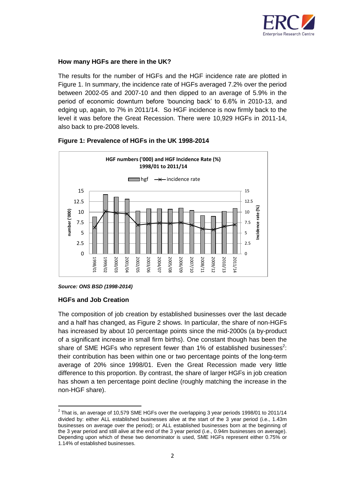

# **How many HGFs are there in the UK?**

The results for the number of HGFs and the HGF incidence rate are plotted in Figure 1. In summary, the incidence rate of HGFs averaged 7.2% over the period between 2002-05 and 2007-10 and then dipped to an average of 5.9% in the period of economic downturn before 'bouncing back' to 6.6% in 2010-13, and edging up, again, to 7% in 2011/14. So HGF incidence is now firmly back to the level it was before the Great Recession. There were 10,929 HGFs in 2011-14, also back to pre-2008 levels.



#### **Figure 1: Prevalence of HGFs in the UK 1998-2014**

*Source: ONS BSD (1998-2014)*

#### **HGFs and Job Creation**

 $\overline{\phantom{a}}$ 

The composition of job creation by established businesses over the last decade and a half has changed, as Figure 2 shows. In particular, the share of non-HGFs has increased by about 10 percentage points since the mid-2000s (a by-product of a significant increase in small firm births). One constant though has been the share of SME HGFs who represent fewer than 1% of established businesses<sup>2</sup>: their contribution has been within one or two percentage points of the long-term average of 20% since 1998/01. Even the Great Recession made very little difference to this proportion. By contrast, the share of larger HGFs in job creation has shown a ten percentage point decline (roughly matching the increase in the non-HGF share).

 $2$  That is, an average of 10,579 SME HGFs over the overlapping 3 year periods 1998/01 to 2011/14 divided by: either ALL established businesses alive at the start of the 3 year period (i.e., 1.43m businesses on average over the period); or ALL established businesses born at the beginning of the 3 year period and still alive at the end of the 3 year period (i.e., 0.94m businesses on average). Depending upon which of these two denominator is used, SME HGFs represent either 0.75% or 1.14% of established businesses.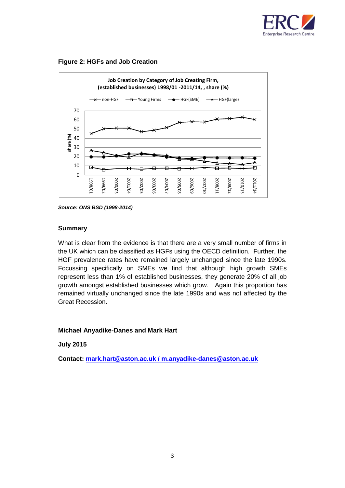





*Source: ONS BSD (1998-2014)*

# **Summary**

What is clear from the evidence is that there are a very small number of firms in the UK which can be classified as HGFs using the OECD definition. Further, the HGF prevalence rates have remained largely unchanged since the late 1990s. Focussing specifically on SMEs we find that although high growth SMEs represent less than 1% of established businesses, they generate 20% of all job growth amongst established businesses which grow. Again this proportion has remained virtually unchanged since the late 1990s and was not affected by the Great Recession.

# **Michael Anyadike-Danes and Mark Hart**

# **July 2015**

**Contact: [mark.hart@aston.ac.uk](mailto:mark.hart@aston.ac.uk) / m.anyadike-danes@aston.ac.uk**